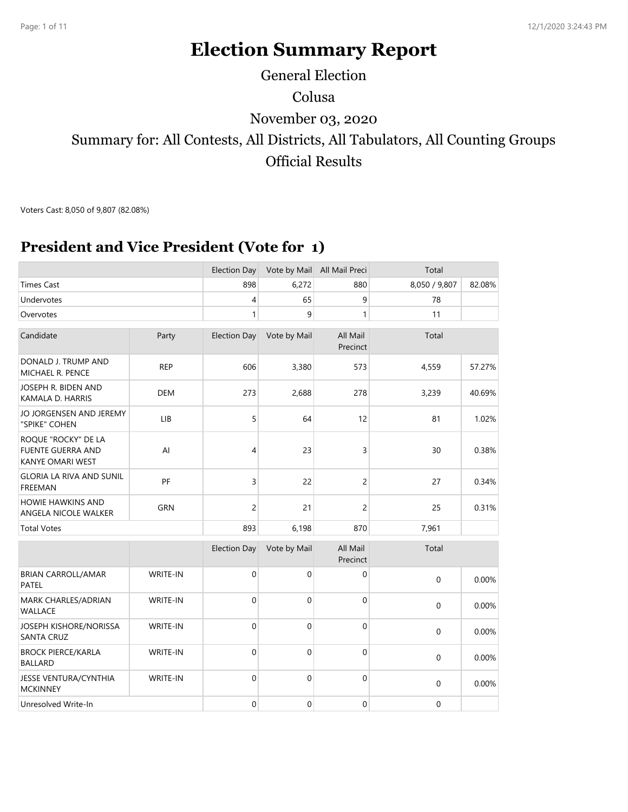# **Election Summary Report**

# Colusa Summary for: All Contests, All Districts, All Tabulators, All Counting Groups Official Results November 03, 2020 General Election

Voters Cast: 8,050 of 9,807 (82.08%)

#### **President and Vice President (Vote for 1)**

|                                                                            |                 | <b>Election Day</b> | Vote by Mail | All Mail Preci       | Total         |        |
|----------------------------------------------------------------------------|-----------------|---------------------|--------------|----------------------|---------------|--------|
| <b>Times Cast</b>                                                          |                 | 898                 | 6,272        | 880                  | 8,050 / 9,807 | 82.08% |
| Undervotes                                                                 |                 | $\overline{4}$      | 65           | 9                    | 78            |        |
| Overvotes                                                                  |                 | 1                   | 9            | 1                    | 11            |        |
| Candidate                                                                  | Party           | <b>Election Day</b> | Vote by Mail | All Mail<br>Precinct | Total         |        |
| DONALD J. TRUMP AND<br>MICHAEL R. PENCE                                    | <b>REP</b>      | 606                 | 3,380        | 573                  | 4,559         | 57.27% |
| JOSEPH R. BIDEN AND<br>KAMALA D. HARRIS                                    | <b>DEM</b>      | 273                 | 2,688        | 278                  | 3,239         | 40.69% |
| JO JORGENSEN AND JEREMY<br>"SPIKE" COHEN                                   | LIB             | 5                   | 64           | 12                   | 81            | 1.02%  |
| ROQUE "ROCKY" DE LA<br><b>FUENTE GUERRA AND</b><br><b>KANYE OMARI WEST</b> | AI              | 4                   | 23           | 3                    | 30            | 0.38%  |
| <b>GLORIA LA RIVA AND SUNIL</b><br>FREEMAN                                 | PF              | 3                   | 22           | 2                    | 27            | 0.34%  |
| <b>HOWIE HAWKINS AND</b><br>ANGELA NICOLE WALKER                           | <b>GRN</b>      | $\overline{c}$      | 21           | 2                    | 25            | 0.31%  |
| <b>Total Votes</b>                                                         |                 | 893                 | 6,198        | 870                  | 7,961         |        |
|                                                                            |                 | <b>Election Day</b> | Vote by Mail | All Mail<br>Precinct | Total         |        |
| <b>BRIAN CARROLL/AMAR</b><br><b>PATEL</b>                                  | WRITE-IN        | $\mathbf 0$         | $\mathbf 0$  | 0                    | $\mathbf 0$   | 0.00%  |
| MARK CHARLES/ADRIAN<br><b>WALLACE</b>                                      | WRITE-IN        | $\mathbf 0$         | 0            | $\mathbf 0$          | 0             | 0.00%  |
| JOSEPH KISHORE/NORISSA<br><b>SANTA CRUZ</b>                                | <b>WRITE-IN</b> | $\mathbf 0$         | $\mathbf 0$  | 0                    | 0             | 0.00%  |
| <b>BROCK PIERCE/KARLA</b><br><b>BALLARD</b>                                | WRITE-IN        | $\mathbf 0$         | $\mathbf 0$  | $\mathbf 0$          | $\mathbf 0$   | 0.00%  |
| JESSE VENTURA/CYNTHIA<br><b>MCKINNEY</b>                                   | WRITE-IN        | $\mathbf 0$         | $\mathbf 0$  | 0                    | 0             | 0.00%  |
| Unresolved Write-In                                                        |                 | $\boldsymbol{0}$    | 0            | 0                    | 0             |        |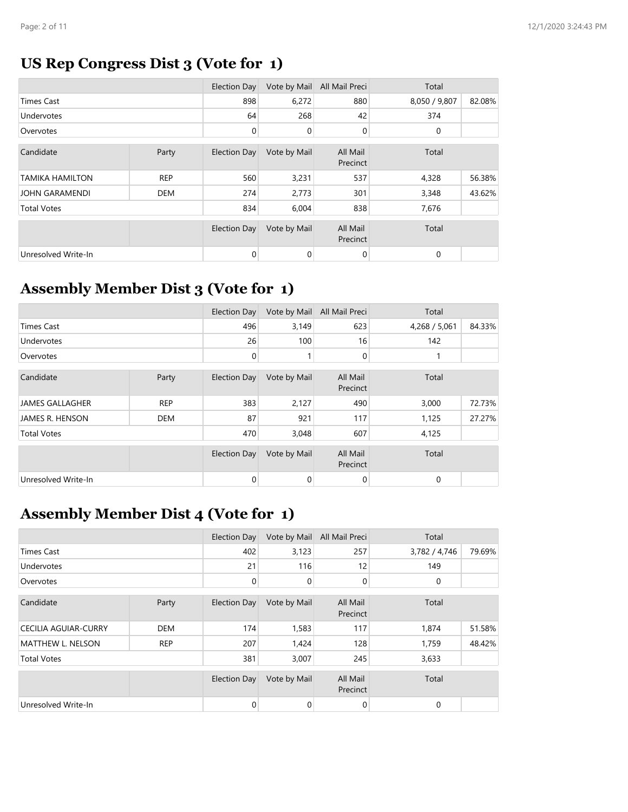#### **US Rep Congress Dist 3 (Vote for 1)**

|                        |            | Election Day        | Vote by Mail | All Mail Preci       | Total         |        |
|------------------------|------------|---------------------|--------------|----------------------|---------------|--------|
| <b>Times Cast</b>      |            | 898                 | 6,272        | 880                  | 8,050 / 9,807 | 82.08% |
| Undervotes             |            | 64                  | 268          | 42                   | 374           |        |
| Overvotes              |            | 0                   | 0            | 0                    | 0             |        |
| Candidate              | Party      | Election Day        | Vote by Mail | All Mail<br>Precinct | Total         |        |
| <b>TAMIKA HAMILTON</b> | <b>REP</b> | 560                 | 3,231        | 537                  | 4,328         | 56.38% |
| <b>JOHN GARAMENDI</b>  | DEM        | 274                 | 2,773        | 301                  | 3,348         | 43.62% |
| <b>Total Votes</b>     |            | 834                 | 6,004        | 838                  | 7,676         |        |
|                        |            | <b>Election Day</b> | Vote by Mail | All Mail<br>Precinct | Total         |        |
| Unresolved Write-In    |            | $\mathbf 0$         | 0            | 0                    | 0             |        |

### **Assembly Member Dist 3 (Vote for 1)**

|                        |            | Election Day        | Vote by Mail | All Mail Preci       | Total         |        |
|------------------------|------------|---------------------|--------------|----------------------|---------------|--------|
| <b>Times Cast</b>      |            | 496                 | 3,149        | 623                  | 4,268 / 5,061 | 84.33% |
| Undervotes             |            | 26                  | 100          | 16                   | 142           |        |
| Overvotes              |            | 0                   |              | 0                    |               |        |
| Candidate              | Party      | Election Day        | Vote by Mail | All Mail<br>Precinct | Total         |        |
| <b>JAMES GALLAGHER</b> | <b>REP</b> | 383                 | 2,127        | 490                  | 3,000         | 72.73% |
| JAMES R. HENSON        | <b>DEM</b> | 87                  | 921          | 117                  | 1,125         | 27.27% |
| <b>Total Votes</b>     |            | 470                 | 3,048        | 607                  | 4,125         |        |
|                        |            | <b>Election Day</b> | Vote by Mail | All Mail<br>Precinct | Total         |        |
| Unresolved Write-In    |            | 0                   | $\mathbf 0$  | 0                    | 0             |        |

#### **Assembly Member Dist 4 (Vote for 1)**

|                             |            | Election Day        | Vote by Mail | All Mail Preci       | Total         |        |
|-----------------------------|------------|---------------------|--------------|----------------------|---------------|--------|
| <b>Times Cast</b>           |            | 402                 | 3,123        | 257                  | 3,782 / 4,746 | 79.69% |
| Undervotes                  |            | 21                  | 116          | 12                   | 149           |        |
| Overvotes                   |            | 0                   | 0            | 0                    | 0             |        |
| Candidate                   | Party      | <b>Election Day</b> | Vote by Mail | All Mail<br>Precinct | Total         |        |
| <b>CECILIA AGUIAR-CURRY</b> | <b>DEM</b> | 174                 | 1,583        | 117                  | 1,874         | 51.58% |
| <b>MATTHEW L. NELSON</b>    | <b>REP</b> | 207                 | 1,424        | 128                  | 1,759         | 48.42% |
| <b>Total Votes</b>          |            | 381                 | 3,007        | 245                  | 3,633         |        |
|                             |            | <b>Election Day</b> | Vote by Mail | All Mail<br>Precinct | Total         |        |
| Unresolved Write-In         |            | 0                   | 0            | $\mathbf 0$          | 0             |        |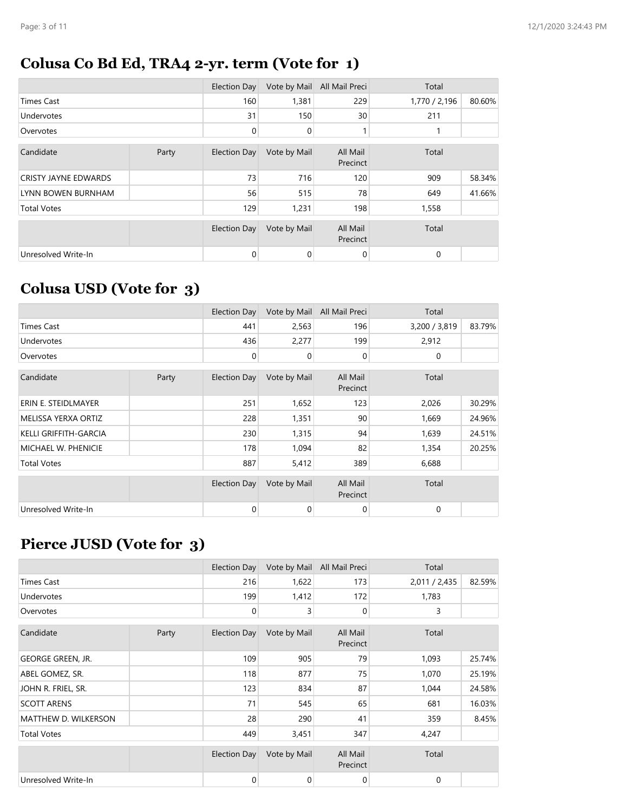#### **Colusa Co Bd Ed, TRA4 2-yr. term (Vote for 1)**

|                             |       | Election Day        | Vote by Mail | All Mail Preci       | Total         |        |
|-----------------------------|-------|---------------------|--------------|----------------------|---------------|--------|
| <b>Times Cast</b>           |       | 160                 | 1,381        | 229                  | 1,770 / 2,196 | 80.60% |
| Undervotes                  |       | 31                  | 150          | 30                   | 211           |        |
| Overvotes                   |       | 0                   | 0            |                      |               |        |
| Candidate                   | Party | <b>Election Day</b> | Vote by Mail | All Mail<br>Precinct | Total         |        |
| <b>CRISTY JAYNE EDWARDS</b> |       | 73                  | 716          | 120                  | 909           | 58.34% |
| LYNN BOWEN BURNHAM          |       | 56                  | 515          | 78                   | 649           | 41.66% |
| <b>Total Votes</b>          |       | 129                 | 1,231        | 198                  | 1,558         |        |
|                             |       | <b>Election Day</b> | Vote by Mail | All Mail<br>Precinct | Total         |        |
| Unresolved Write-In         |       | 0                   | 0            | $\mathbf 0$          | 0             |        |

### **Colusa USD (Vote for 3)**

|                       |       | <b>Election Day</b> | Vote by Mail | All Mail Preci       | Total         |        |
|-----------------------|-------|---------------------|--------------|----------------------|---------------|--------|
| <b>Times Cast</b>     |       | 441                 | 2,563        | 196                  | 3,200 / 3,819 | 83.79% |
| Undervotes            |       | 436                 | 2,277        | 199                  | 2,912         |        |
| Overvotes             |       | $\mathbf 0$         | 0            | 0                    | 0             |        |
| Candidate             | Party | <b>Election Day</b> | Vote by Mail | All Mail<br>Precinct | Total         |        |
| ERIN E. STEIDLMAYER   |       | 251                 | 1,652        | 123                  | 2,026         | 30.29% |
| MELISSA YERXA ORTIZ   |       | 228                 | 1,351        | 90                   | 1,669         | 24.96% |
| KELLI GRIFFITH-GARCIA |       | 230                 | 1,315        | 94                   | 1,639         | 24.51% |
| MICHAEL W. PHENICIE   |       | 178                 | 1,094        | 82                   | 1,354         | 20.25% |
| <b>Total Votes</b>    |       | 887                 | 5,412        | 389                  | 6,688         |        |
|                       |       | <b>Election Day</b> | Vote by Mail | All Mail<br>Precinct | Total         |        |
| Unresolved Write-In   |       | 0                   | 0            | 0                    | 0             |        |

#### **Pierce JUSD (Vote for 3)**

|                      |       | Election Day        | Vote by Mail | All Mail Preci       | Total         |        |
|----------------------|-------|---------------------|--------------|----------------------|---------------|--------|
| <b>Times Cast</b>    |       | 216                 | 1,622        | 173                  | 2,011 / 2,435 | 82.59% |
| <b>Undervotes</b>    |       | 199                 | 1,412        | 172                  | 1,783         |        |
| Overvotes            |       | 0                   | 3            | 0                    | 3             |        |
| Candidate            | Party | Election Day        | Vote by Mail | All Mail<br>Precinct | Total         |        |
| GEORGE GREEN, JR.    |       | 109                 | 905          | 79                   | 1,093         | 25.74% |
| ABEL GOMEZ, SR.      |       | 118                 | 877          | 75                   | 1,070         | 25.19% |
| JOHN R. FRIEL, SR.   |       | 123                 | 834          | 87                   | 1,044         | 24.58% |
| <b>SCOTT ARENS</b>   |       | 71                  | 545          | 65                   | 681           | 16.03% |
| MATTHEW D. WILKERSON |       | 28                  | 290          | 41                   | 359           | 8.45%  |
| <b>Total Votes</b>   |       | 449                 | 3,451        | 347                  | 4,247         |        |
|                      |       | <b>Election Day</b> | Vote by Mail | All Mail<br>Precinct | Total         |        |
| Unresolved Write-In  |       | 0                   | 0            | 0                    | 0             |        |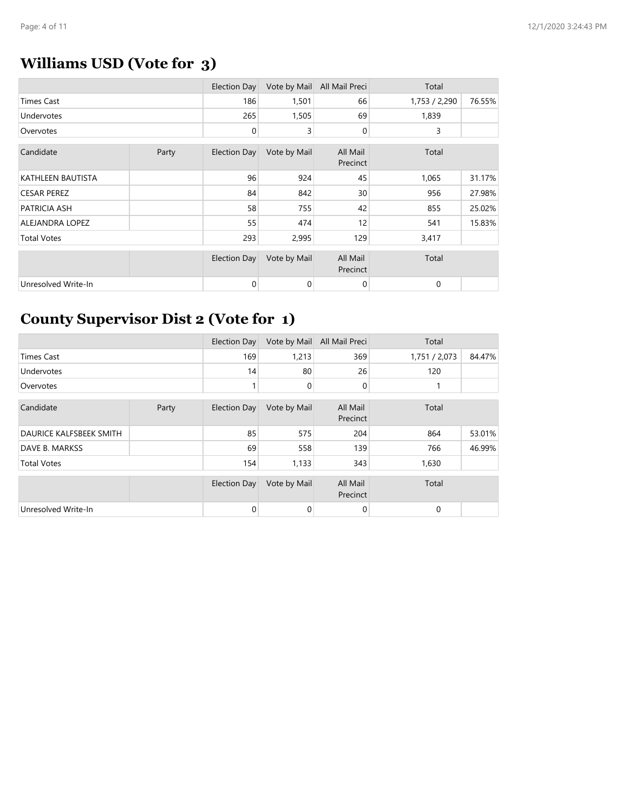# **Williams USD (Vote for 3)**

|                     |       | <b>Election Day</b> | Vote by Mail | All Mail Preci       | Total         |        |
|---------------------|-------|---------------------|--------------|----------------------|---------------|--------|
| Times Cast          |       | 186                 | 1,501        | 66                   | 1,753 / 2,290 | 76.55% |
| Undervotes          |       | 265                 | 1,505        | 69                   | 1,839         |        |
| Overvotes           |       | 0                   | 3            | $\mathbf 0$          | 3             |        |
| Candidate           | Party | <b>Election Day</b> | Vote by Mail | All Mail<br>Precinct | Total         |        |
| KATHLEEN BAUTISTA   |       | 96                  | 924          | 45                   | 1,065         | 31.17% |
| <b>CESAR PEREZ</b>  |       | 84                  | 842          | 30                   | 956           | 27.98% |
| PATRICIA ASH        |       | 58                  | 755          | 42                   | 855           | 25.02% |
| ALEJANDRA LOPEZ     |       | 55                  | 474          | 12                   | 541           | 15.83% |
| <b>Total Votes</b>  |       | 293                 | 2,995        | 129                  | 3,417         |        |
|                     |       | <b>Election Day</b> | Vote by Mail | All Mail<br>Precinct | Total         |        |
| Unresolved Write-In |       | 0                   | 0            | $\mathbf 0$          | $\mathbf 0$   |        |

### **County Supervisor Dist 2 (Vote for 1)**

|                                |       | <b>Election Day</b> | Vote by Mail | All Mail Preci       | Total         |        |
|--------------------------------|-------|---------------------|--------------|----------------------|---------------|--------|
| <b>Times Cast</b>              |       | 169                 | 1,213        | 369                  | 1,751 / 2,073 | 84.47% |
| Undervotes                     |       | 14                  | 80           | 26                   | 120           |        |
| Overvotes                      |       |                     | 0            | $\mathbf 0$          |               |        |
| Candidate                      | Party | Election Day        | Vote by Mail | All Mail<br>Precinct | Total         |        |
| <b>DAURICE KALFSBEEK SMITH</b> |       | 85                  | 575          | 204                  | 864           | 53.01% |
| DAVE B. MARKSS                 |       | 69                  | 558          | 139                  | 766           | 46.99% |
| <b>Total Votes</b>             |       | 154                 | 1,133        | 343                  | 1,630         |        |
|                                |       | <b>Election Day</b> | Vote by Mail | All Mail<br>Precinct | Total         |        |
| Unresolved Write-In            |       | 0                   | 0            | $\mathbf 0$          | 0             |        |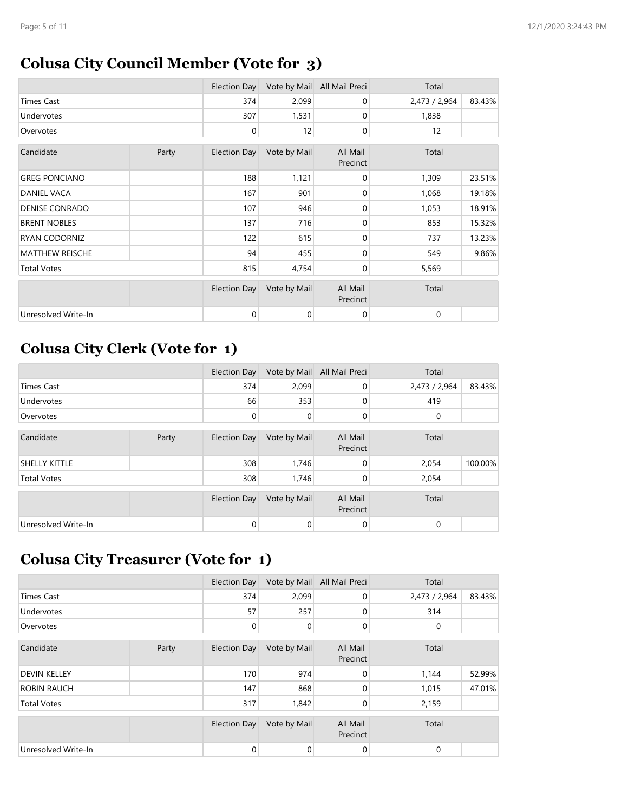#### **Colusa City Council Member (Vote for 3)**

|                        |       | Election Day        | Vote by Mail | All Mail Preci       | Total         |        |
|------------------------|-------|---------------------|--------------|----------------------|---------------|--------|
| Times Cast             |       | 374                 | 2,099        | 0                    | 2,473 / 2,964 | 83.43% |
| <b>Undervotes</b>      |       | 307                 | 1,531        | 0                    | 1,838         |        |
| Overvotes              |       | 0                   | 12           | $\mathbf 0$          | 12            |        |
| Candidate              | Party | <b>Election Day</b> | Vote by Mail | All Mail<br>Precinct | Total         |        |
| <b>GREG PONCIANO</b>   |       | 188                 | 1,121        | 0                    | 1,309         | 23.51% |
| DANIEL VACA            |       | 167                 | 901          | 0                    | 1,068         | 19.18% |
| <b>DENISE CONRADO</b>  |       | 107                 | 946          | $\mathbf 0$          | 1,053         | 18.91% |
| <b>BRENT NOBLES</b>    |       | 137                 | 716          | $\mathbf 0$          | 853           | 15.32% |
| RYAN CODORNIZ          |       | 122                 | 615          | 0                    | 737           | 13.23% |
| <b>MATTHEW REISCHE</b> |       | 94                  | 455          | $\mathbf 0$          | 549           | 9.86%  |
| <b>Total Votes</b>     |       | 815                 | 4,754        | $\mathbf 0$          | 5,569         |        |
|                        |       | Election Day        | Vote by Mail | All Mail<br>Precinct | Total         |        |
| Unresolved Write-In    |       | 0                   | 0            | $\mathbf 0$          | $\mathbf 0$   |        |

### **Colusa City Clerk (Vote for 1)**

|                     |       | Election Day        | Vote by Mail | All Mail Preci       | Total         |         |
|---------------------|-------|---------------------|--------------|----------------------|---------------|---------|
| <b>Times Cast</b>   |       | 374                 | 2,099        | 0                    | 2,473 / 2,964 | 83.43%  |
| Undervotes          |       | 66                  | 353          | 0                    | 419           |         |
| Overvotes           |       | 0                   | 0            | 0                    | 0             |         |
| Candidate           | Party | <b>Election Day</b> | Vote by Mail | All Mail<br>Precinct | Total         |         |
| SHELLY KITTLE       |       | 308                 | 1,746        | 0                    | 2,054         | 100.00% |
| <b>Total Votes</b>  |       | 308                 | 1,746        | $\Omega$             | 2,054         |         |
|                     |       | <b>Election Day</b> | Vote by Mail | All Mail<br>Precinct | Total         |         |
| Unresolved Write-In |       | 0                   | 0            | 0                    | 0             |         |

### **Colusa City Treasurer (Vote for 1)**

|                     |       | <b>Election Day</b> | Vote by Mail | All Mail Preci       | Total         |        |
|---------------------|-------|---------------------|--------------|----------------------|---------------|--------|
| <b>Times Cast</b>   |       | 374                 | 2,099        | $\Omega$             | 2,473 / 2,964 | 83.43% |
| Undervotes          |       | 57                  | 257          | 0                    | 314           |        |
| Overvotes           |       | 0                   | 0            | $\overline{0}$       | 0             |        |
| Candidate           | Party | <b>Election Day</b> | Vote by Mail | All Mail<br>Precinct | Total         |        |
| <b>DEVIN KELLEY</b> |       | 170                 | 974          | $\mathbf 0$          | 1,144         | 52.99% |
| <b>ROBIN RAUCH</b>  |       | 147                 | 868          | $\mathbf 0$          | 1,015         | 47.01% |
| <b>Total Votes</b>  |       | 317                 | 1,842        | 0                    | 2,159         |        |
|                     |       | <b>Election Day</b> | Vote by Mail | All Mail<br>Precinct | Total         |        |
| Unresolved Write-In |       | 0                   | 0            | 0                    | 0             |        |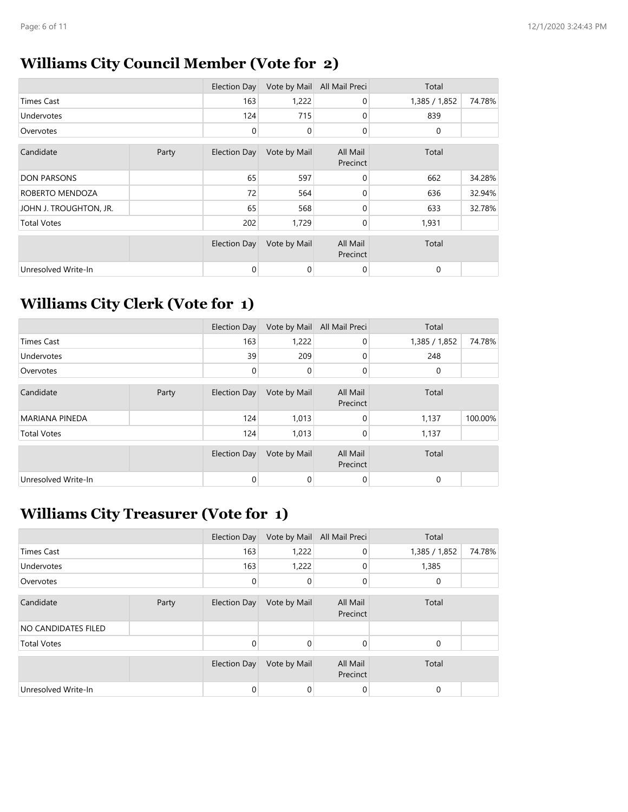### **Williams City Council Member (Vote for 2)**

|                        |       | Election Day        | Vote by Mail | All Mail Preci       | Total         |        |  |
|------------------------|-------|---------------------|--------------|----------------------|---------------|--------|--|
| <b>Times Cast</b>      |       | 163                 | 1,222        | $\mathbf 0$          | 1,385 / 1,852 | 74.78% |  |
| <b>Undervotes</b>      |       | 124                 | 715          | $\mathbf 0$          | 839           |        |  |
| Overvotes              |       | 0                   | 0            | $\mathbf 0$          | 0             |        |  |
| Candidate              | Party | <b>Election Day</b> | Vote by Mail | All Mail<br>Precinct | Total         |        |  |
| <b>DON PARSONS</b>     |       | 65                  | 597          | $\Omega$             | 662           | 34.28% |  |
| ROBERTO MENDOZA        |       | 72                  | 564          | 0                    | 636           | 32.94% |  |
| JOHN J. TROUGHTON, JR. |       | 65                  | 568          | $\Omega$             | 633           | 32.78% |  |
| <b>Total Votes</b>     |       | 202                 | 1,729        | $\mathbf 0$          | 1,931         |        |  |
|                        |       | <b>Election Day</b> | Vote by Mail | All Mail<br>Precinct | Total         |        |  |
| Unresolved Write-In    |       | 0                   | 0            | 0                    | 0             |        |  |

### **Williams City Clerk (Vote for 1)**

|                       |       | Election Day | Vote by Mail | All Mail Preci       | Total         |         |
|-----------------------|-------|--------------|--------------|----------------------|---------------|---------|
| <b>Times Cast</b>     |       | 163          | 1,222        | $\overline{0}$       | 1,385 / 1,852 | 74.78%  |
| Undervotes            |       | 39           | 209          | $\mathbf 0$          | 248           |         |
| Overvotes             |       | 0            | 0            | $\mathbf{0}$         | 0             |         |
| Candidate             | Party | Election Day | Vote by Mail | All Mail<br>Precinct | Total         |         |
| <b>MARIANA PINEDA</b> |       | 124          | 1,013        | $\mathbf 0$          | 1,137         | 100.00% |
| <b>Total Votes</b>    |       | 124          | 1,013        | 0                    | 1,137         |         |
|                       |       | Election Day | Vote by Mail | All Mail<br>Precinct | Total         |         |
| Unresolved Write-In   |       | 0            | 0            | $\mathbf{0}$         | 0             |         |

### **Williams City Treasurer (Vote for 1)**

|                     |       | Election Day        | Vote by Mail | All Mail Preci       | Total         |        |
|---------------------|-------|---------------------|--------------|----------------------|---------------|--------|
| Times Cast          |       | 163                 | 1,222        | 0                    | 1,385 / 1,852 | 74.78% |
| Undervotes          |       | 163                 | 1,222        | 0                    | 1,385         |        |
| Overvotes           |       | 0                   | 0            | 0                    | $\mathbf 0$   |        |
| Candidate           | Party | <b>Election Day</b> | Vote by Mail | All Mail<br>Precinct | Total         |        |
| NO CANDIDATES FILED |       |                     |              |                      |               |        |
| <b>Total Votes</b>  |       | 0                   | 0            | $\Omega$             | $\Omega$      |        |
|                     |       | Election Day        | Vote by Mail | All Mail<br>Precinct | Total         |        |
| Unresolved Write-In |       | 0                   | 0            | 0                    | $\Omega$      |        |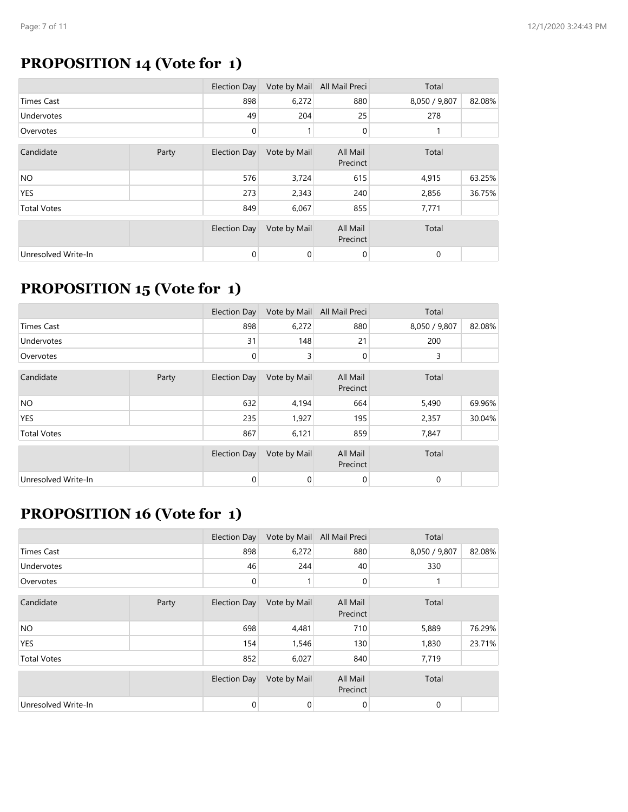# **PROPOSITION 14 (Vote for 1)**

|                     |       | Election Day        | Vote by Mail | All Mail Preci       | Total         |        |
|---------------------|-------|---------------------|--------------|----------------------|---------------|--------|
| <b>Times Cast</b>   |       | 898                 | 6,272        | 880                  | 8,050 / 9,807 | 82.08% |
| Undervotes          |       | 49                  | 204          | 25                   | 278           |        |
| Overvotes           |       | 0                   |              | 0                    |               |        |
| Candidate           | Party | Election Day        | Vote by Mail | All Mail<br>Precinct | Total         |        |
| <b>NO</b>           |       | 576                 | 3,724        | 615                  | 4,915         | 63.25% |
| <b>YES</b>          |       | 273                 | 2,343        | 240                  | 2,856         | 36.75% |
| <b>Total Votes</b>  |       | 849                 | 6,067        | 855                  | 7,771         |        |
|                     |       | <b>Election Day</b> | Vote by Mail | All Mail<br>Precinct | Total         |        |
| Unresolved Write-In |       | 0                   | 0            | 0                    | 0             |        |

#### **PROPOSITION 15 (Vote for 1)**

|                     |       | Election Day        | Vote by Mail | All Mail Preci       | Total         |        |
|---------------------|-------|---------------------|--------------|----------------------|---------------|--------|
| <b>Times Cast</b>   |       | 898                 | 6,272        | 880                  | 8,050 / 9,807 | 82.08% |
| Undervotes          |       | 31                  | 148          | 21                   | 200           |        |
| Overvotes           |       | 0                   | 3            | 0                    | 3             |        |
| Candidate           | Party | Election Day        | Vote by Mail | All Mail<br>Precinct | Total         |        |
| <b>NO</b>           |       | 632                 | 4,194        | 664                  | 5,490         | 69.96% |
| <b>YES</b>          |       | 235                 | 1,927        | 195                  | 2,357         | 30.04% |
| <b>Total Votes</b>  |       | 867                 | 6,121        | 859                  | 7,847         |        |
|                     |       | <b>Election Day</b> | Vote by Mail | All Mail<br>Precinct | Total         |        |
| Unresolved Write-In |       | 0                   | 0            | 0                    | 0             |        |

#### **PROPOSITION 16 (Vote for 1)**

|                     |       | Election Day        | Vote by Mail | All Mail Preci       | Total         |        |
|---------------------|-------|---------------------|--------------|----------------------|---------------|--------|
| <b>Times Cast</b>   |       | 898                 | 6,272        | 880                  | 8,050 / 9,807 | 82.08% |
| Undervotes          |       | 46                  | 244          | 40                   | 330           |        |
| Overvotes           |       | 0                   |              | 0                    |               |        |
| Candidate           | Party | <b>Election Day</b> | Vote by Mail | All Mail<br>Precinct | Total         |        |
| <b>NO</b>           |       | 698                 | 4,481        | 710                  | 5,889         | 76.29% |
| <b>YES</b>          |       | 154                 | 1,546        | 130                  | 1,830         | 23.71% |
| <b>Total Votes</b>  |       | 852                 | 6,027        | 840                  | 7,719         |        |
|                     |       | <b>Election Day</b> | Vote by Mail | All Mail<br>Precinct | Total         |        |
| Unresolved Write-In |       | 0                   | 0            | 0                    | 0             |        |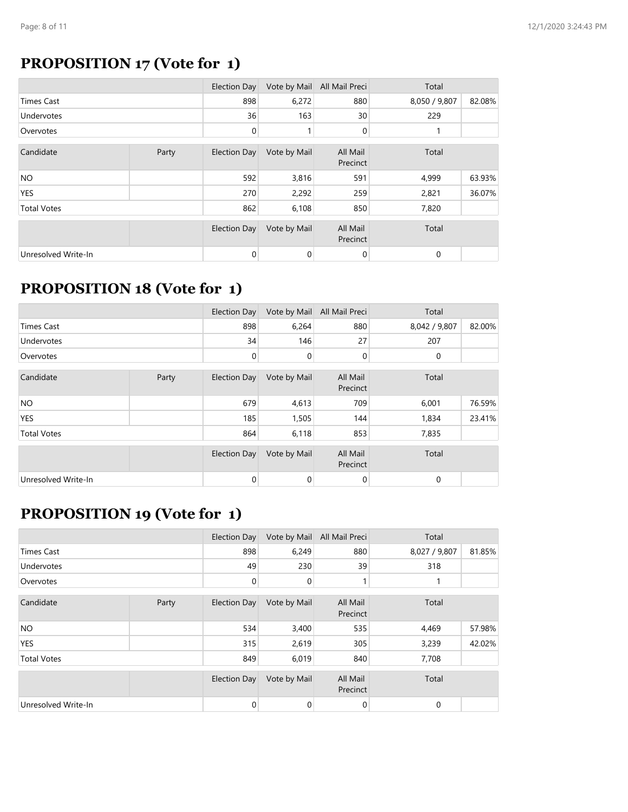### **PROPOSITION 17 (Vote for 1)**

|                     |       | Election Day        | Vote by Mail | All Mail Preci       | Total         |        |
|---------------------|-------|---------------------|--------------|----------------------|---------------|--------|
| <b>Times Cast</b>   |       | 898                 | 6,272        | 880                  | 8,050 / 9,807 | 82.08% |
| <b>Undervotes</b>   |       | 36                  | 163          | 30                   | 229           |        |
| Overvotes           |       | $\mathbf 0$         |              | 0                    |               |        |
| Candidate           | Party | Election Day        | Vote by Mail | All Mail<br>Precinct | Total         |        |
| <b>NO</b>           |       | 592                 | 3,816        | 591                  | 4,999         | 63.93% |
| <b>YES</b>          |       | 270                 | 2,292        | 259                  | 2,821         | 36.07% |
| <b>Total Votes</b>  |       | 862                 | 6,108        | 850                  | 7,820         |        |
|                     |       | <b>Election Day</b> | Vote by Mail | All Mail<br>Precinct | Total         |        |
| Unresolved Write-In |       | 0                   | 0            | $\mathbf 0$          | 0             |        |

#### **PROPOSITION 18 (Vote for 1)**

|                     |       | Election Day        | Vote by Mail | All Mail Preci       | Total         |        |
|---------------------|-------|---------------------|--------------|----------------------|---------------|--------|
| <b>Times Cast</b>   |       | 898                 | 6,264        | 880                  | 8,042 / 9,807 | 82.00% |
| Undervotes          |       | 34                  | 146          | 27                   | 207           |        |
| Overvotes           |       | 0                   | 0            | 0                    | 0             |        |
| Candidate           | Party | Election Day        | Vote by Mail | All Mail<br>Precinct | Total         |        |
| <b>NO</b>           |       | 679                 | 4,613        | 709                  | 6,001         | 76.59% |
| <b>YES</b>          |       | 185                 | 1,505        | 144                  | 1,834         | 23.41% |
| <b>Total Votes</b>  |       | 864                 | 6,118        | 853                  | 7,835         |        |
|                     |       | <b>Election Day</b> | Vote by Mail | All Mail<br>Precinct | Total         |        |
| Unresolved Write-In |       | 0                   | 0            | 0                    | 0             |        |

### **PROPOSITION 19 (Vote for 1)**

|                     |       | Election Day        | Vote by Mail | All Mail Preci       | Total         |        |
|---------------------|-------|---------------------|--------------|----------------------|---------------|--------|
| <b>Times Cast</b>   |       | 898                 | 6,249        | 880                  | 8,027 / 9,807 | 81.85% |
| <b>Undervotes</b>   |       | 49                  | 230          | 39                   | 318           |        |
| Overvotes           |       | 0                   | 0            |                      |               |        |
| Candidate           | Party | Election Day        | Vote by Mail | All Mail<br>Precinct | Total         |        |
| <b>NO</b>           |       | 534                 | 3,400        | 535                  | 4,469         | 57.98% |
| <b>YES</b>          |       | 315                 | 2,619        | 305                  | 3,239         | 42.02% |
| <b>Total Votes</b>  |       | 849                 | 6,019        | 840                  | 7,708         |        |
|                     |       | <b>Election Day</b> | Vote by Mail | All Mail<br>Precinct | Total         |        |
| Unresolved Write-In |       | 0                   | 0            | 0                    | 0             |        |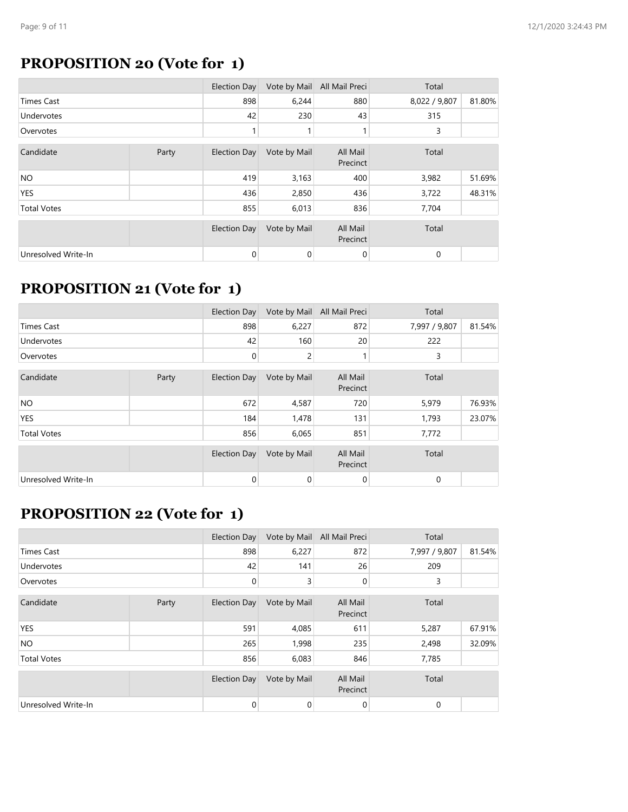#### **PROPOSITION 20 (Vote for 1)**

|                     |       | Election Day        | Vote by Mail | All Mail Preci       | Total         |        |
|---------------------|-------|---------------------|--------------|----------------------|---------------|--------|
| <b>Times Cast</b>   |       | 898                 | 6,244        | 880                  | 8,022 / 9,807 | 81.80% |
| Undervotes          |       | 42                  | 230          | 43                   | 315           |        |
| Overvotes           |       | 1                   |              |                      | 3             |        |
| Candidate           | Party | <b>Election Day</b> | Vote by Mail | All Mail<br>Precinct | Total         |        |
| <b>NO</b>           |       | 419                 | 3,163        | 400                  | 3,982         | 51.69% |
| YES                 |       | 436                 | 2,850        | 436                  | 3,722         | 48.31% |
| <b>Total Votes</b>  |       | 855                 | 6,013        | 836                  | 7,704         |        |
|                     |       | <b>Election Day</b> | Vote by Mail | All Mail<br>Precinct | Total         |        |
| Unresolved Write-In |       | 0                   | 0            | 0                    | 0             |        |

#### **PROPOSITION 21 (Vote for 1)**

|                     |       | Election Day        | Vote by Mail | All Mail Preci       | Total         |        |
|---------------------|-------|---------------------|--------------|----------------------|---------------|--------|
| <b>Times Cast</b>   |       | 898                 | 6,227        | 872                  | 7,997 / 9,807 | 81.54% |
| Undervotes          |       | 42                  | 160          | 20                   | 222           |        |
| Overvotes           |       | 0                   | 2            |                      | 3             |        |
| Candidate           | Party | Election Day        | Vote by Mail | All Mail<br>Precinct | Total         |        |
| <b>NO</b>           |       | 672                 | 4,587        | 720                  | 5,979         | 76.93% |
| <b>YES</b>          |       | 184                 | 1,478        | 131                  | 1,793         | 23.07% |
| <b>Total Votes</b>  |       | 856                 | 6,065        | 851                  | 7,772         |        |
|                     |       | <b>Election Day</b> | Vote by Mail | All Mail<br>Precinct | Total         |        |
| Unresolved Write-In |       | 0                   | 0            | 0                    | 0             |        |

### **PROPOSITION 22 (Vote for 1)**

|                     |       | Election Day        | Vote by Mail | All Mail Preci       | Total         |        |
|---------------------|-------|---------------------|--------------|----------------------|---------------|--------|
| <b>Times Cast</b>   |       | 898                 | 6,227        | 872                  | 7,997 / 9,807 | 81.54% |
| <b>Undervotes</b>   |       | 42                  | 141          | 26                   | 209           |        |
| Overvotes           |       | 0                   | 3            | 0                    | 3             |        |
| Candidate           | Party | <b>Election Day</b> | Vote by Mail | All Mail<br>Precinct | Total         |        |
| <b>YES</b>          |       | 591                 | 4,085        | 611                  | 5,287         | 67.91% |
| <b>NO</b>           |       | 265                 | 1,998        | 235                  | 2,498         | 32.09% |
| <b>Total Votes</b>  |       | 856                 | 6,083        | 846                  | 7,785         |        |
|                     |       | <b>Election Day</b> | Vote by Mail | All Mail<br>Precinct | Total         |        |
| Unresolved Write-In |       | 0                   | 0            | 0                    | 0             |        |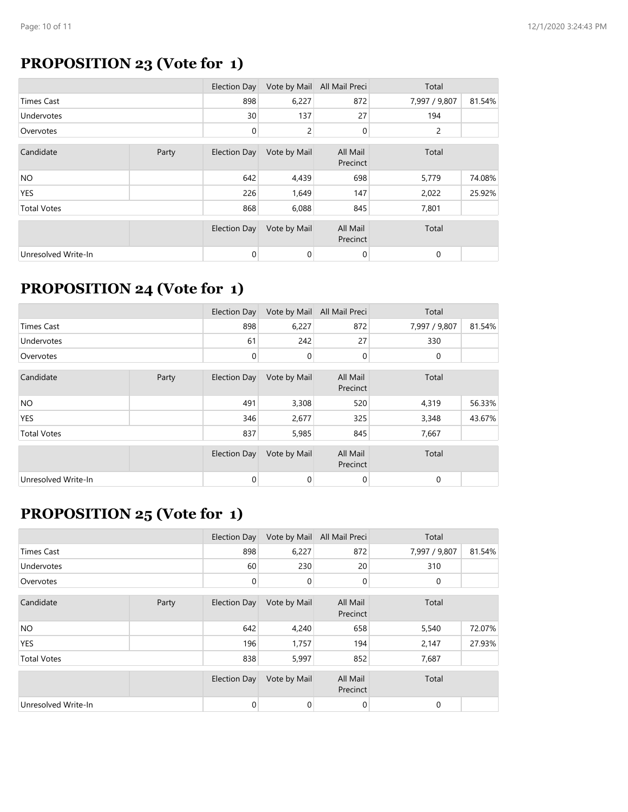### **PROPOSITION 23 (Vote for 1)**

|                     |       | Election Day        | Vote by Mail | All Mail Preci       | Total         |        |
|---------------------|-------|---------------------|--------------|----------------------|---------------|--------|
| <b>Times Cast</b>   |       | 898                 | 6,227        | 872                  | 7,997 / 9,807 | 81.54% |
| <b>Undervotes</b>   |       | 30                  | 137          | 27                   | 194           |        |
| Overvotes           |       | 0                   | 2            | 0                    | 2             |        |
| Candidate           | Party | <b>Election Day</b> | Vote by Mail | All Mail<br>Precinct | Total         |        |
| NO.                 |       | 642                 | 4,439        | 698                  | 5,779         | 74.08% |
| <b>YES</b>          |       | 226                 | 1,649        | 147                  | 2,022         | 25.92% |
| <b>Total Votes</b>  |       | 868                 | 6,088        | 845                  | 7,801         |        |
|                     |       | <b>Election Day</b> | Vote by Mail | All Mail<br>Precinct | Total         |        |
| Unresolved Write-In |       | 0                   | 0            | $\mathbf 0$          | 0             |        |

#### **PROPOSITION 24 (Vote for 1)**

|                     |       | Election Day        | Vote by Mail | All Mail Preci       | Total         |        |
|---------------------|-------|---------------------|--------------|----------------------|---------------|--------|
| <b>Times Cast</b>   |       | 898                 | 6,227        | 872                  | 7,997 / 9,807 | 81.54% |
| Undervotes          |       | 61                  | 242          | 27                   | 330           |        |
| Overvotes           |       | 0                   | 0            | 0                    | 0             |        |
| Candidate           | Party | Election Day        | Vote by Mail | All Mail<br>Precinct | Total         |        |
| <b>NO</b>           |       | 491                 | 3,308        | 520                  | 4,319         | 56.33% |
| <b>YES</b>          |       | 346                 | 2,677        | 325                  | 3,348         | 43.67% |
| <b>Total Votes</b>  |       | 837                 | 5,985        | 845                  | 7,667         |        |
|                     |       | <b>Election Day</b> | Vote by Mail | All Mail<br>Precinct | Total         |        |
| Unresolved Write-In |       | 0                   | 0            | 0                    | 0             |        |

### **PROPOSITION 25 (Vote for 1)**

|                     |       | Election Day        | Vote by Mail | All Mail Preci       | Total         |        |
|---------------------|-------|---------------------|--------------|----------------------|---------------|--------|
| <b>Times Cast</b>   |       | 898                 | 6,227        | 872                  | 7,997 / 9,807 | 81.54% |
| <b>Undervotes</b>   |       | 60                  | 230          | 20                   | 310           |        |
| Overvotes           |       | 0                   | 0            | 0                    | 0             |        |
| Candidate           | Party | <b>Election Day</b> | Vote by Mail | All Mail<br>Precinct | Total         |        |
| <b>NO</b>           |       | 642                 | 4,240        | 658                  | 5,540         | 72.07% |
| <b>YES</b>          |       | 196                 | 1,757        | 194                  | 2,147         | 27.93% |
| <b>Total Votes</b>  |       | 838                 | 5,997        | 852                  | 7,687         |        |
|                     |       | <b>Election Day</b> | Vote by Mail | All Mail<br>Precinct | Total         |        |
| Unresolved Write-In |       | 0                   | 0            | 0                    | 0             |        |